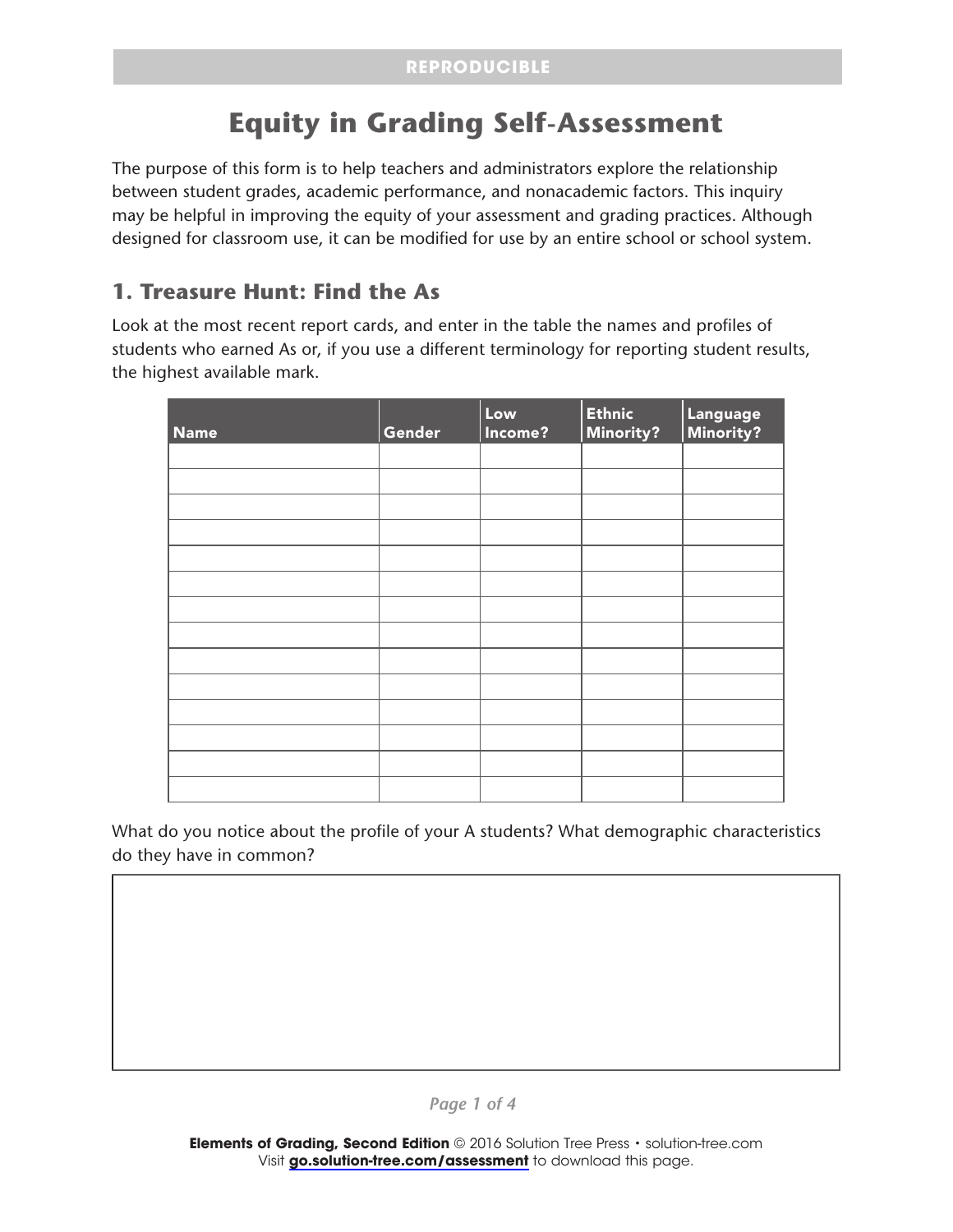# **Equity in Grading Self-Assessment**

The purpose of this form is to help teachers and administrators explore the relationship between student grades, academic performance, and nonacademic factors. This inquiry may be helpful in improving the equity of your assessment and grading practices. Although designed for classroom use, it can be modified for use by an entire school or school system.

### **1. Treasure Hunt: Find the As**

Look at the most recent report cards, and enter in the table the names and profiles of students who earned As or, if you use a different terminology for reporting student results, the highest available mark.

| <b>Name</b> | Gender | Low<br>Income? | <b>Ethnic</b><br><b>Minority?</b> | Language<br>Minority? |
|-------------|--------|----------------|-----------------------------------|-----------------------|
|             |        |                |                                   |                       |
|             |        |                |                                   |                       |
|             |        |                |                                   |                       |
|             |        |                |                                   |                       |
|             |        |                |                                   |                       |
|             |        |                |                                   |                       |
|             |        |                |                                   |                       |
|             |        |                |                                   |                       |
|             |        |                |                                   |                       |
|             |        |                |                                   |                       |
|             |        |                |                                   |                       |
|             |        |                |                                   |                       |
|             |        |                |                                   |                       |
|             |        |                |                                   |                       |

What do you notice about the profile of your A students? What demographic characteristics do they have in common?

*Page 1 of 4*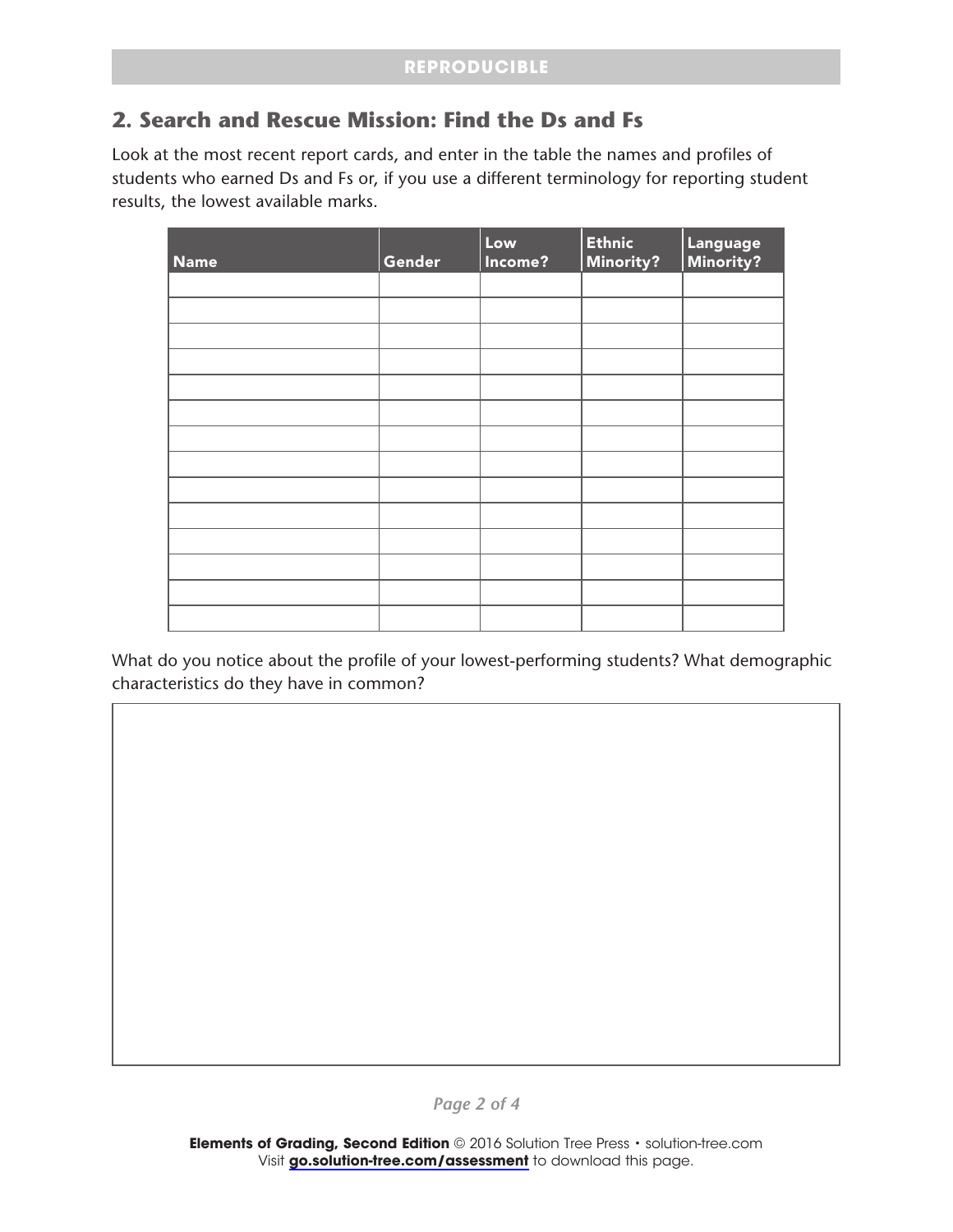## **2. Search and Rescue Mission: Find the Ds and Fs**

Look at the most recent report cards, and enter in the table the names and profiles of students who earned Ds and Fs or, if you use a different terminology for reporting student results, the lowest available marks.

| <b>Name</b> | Gender | Low<br>Income? | Ethnic<br><b>Minority?</b> | Language<br>Minority? |
|-------------|--------|----------------|----------------------------|-----------------------|
|             |        |                |                            |                       |
|             |        |                |                            |                       |
|             |        |                |                            |                       |
|             |        |                |                            |                       |
|             |        |                |                            |                       |
|             |        |                |                            |                       |
|             |        |                |                            |                       |
|             |        |                |                            |                       |
|             |        |                |                            |                       |
|             |        |                |                            |                       |
|             |        |                |                            |                       |
|             |        |                |                            |                       |
|             |        |                |                            |                       |
|             |        |                |                            |                       |

What do you notice about the profile of your lowest-performing students? What demographic characteristics do they have in common?

*Page 2 of 4*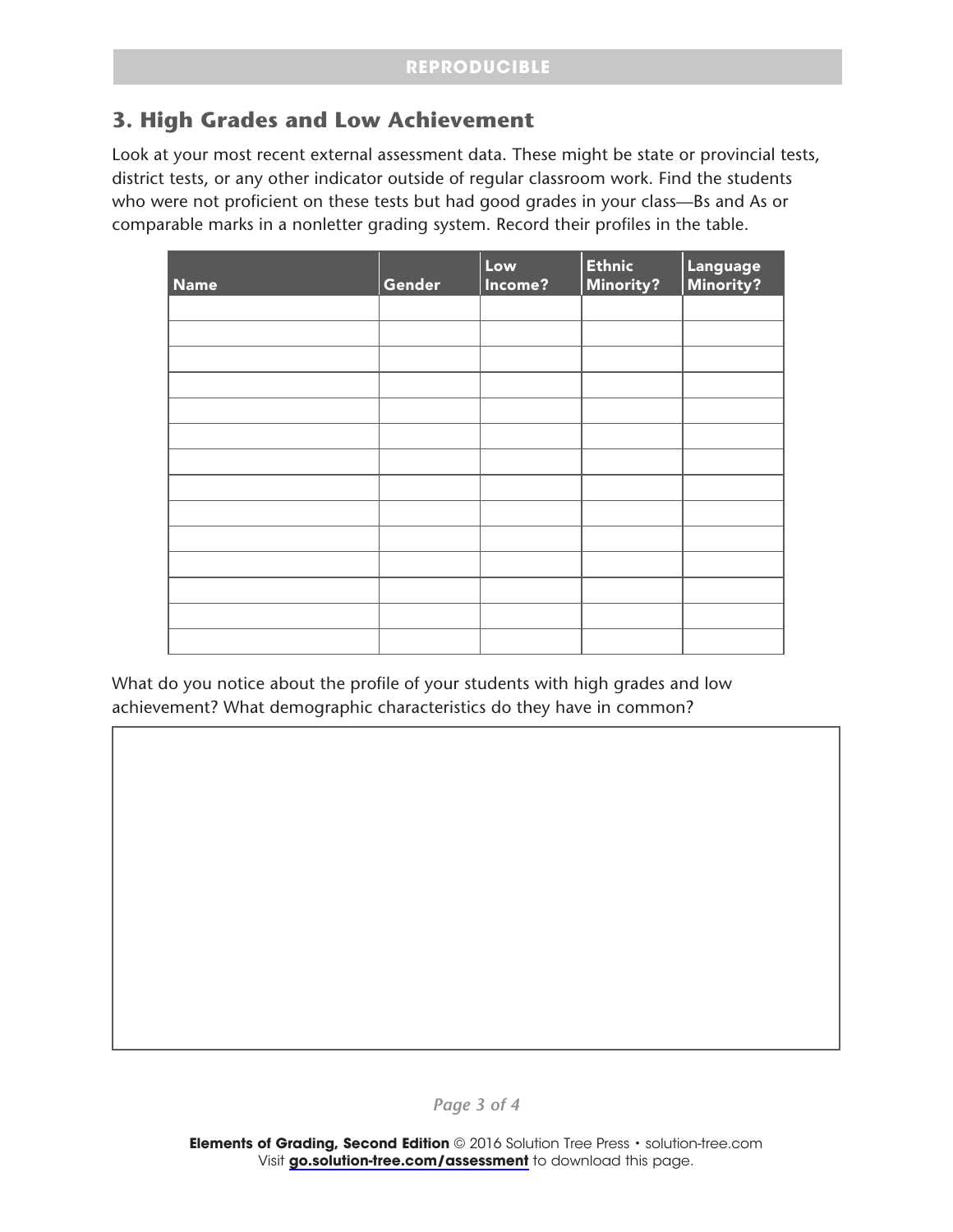## **3. High Grades and Low Achievement**

Look at your most recent external assessment data. These might be state or provincial tests, district tests, or any other indicator outside of regular classroom work. Find the students who were not proficient on these tests but had good grades in your class—Bs and As or comparable marks in a nonletter grading system. Record their profiles in the table.

| <b>Name</b> | Gender | Low<br>Income? | <b>Ethnic</b><br><b>Minority?</b> | Language<br>Minority? |
|-------------|--------|----------------|-----------------------------------|-----------------------|
|             |        |                |                                   |                       |
|             |        |                |                                   |                       |
|             |        |                |                                   |                       |
|             |        |                |                                   |                       |
|             |        |                |                                   |                       |
|             |        |                |                                   |                       |
|             |        |                |                                   |                       |
|             |        |                |                                   |                       |
|             |        |                |                                   |                       |
|             |        |                |                                   |                       |
|             |        |                |                                   |                       |
|             |        |                |                                   |                       |
|             |        |                |                                   |                       |
|             |        |                |                                   |                       |

What do you notice about the profile of your students with high grades and low achievement? What demographic characteristics do they have in common?

*Page 3 of 4*